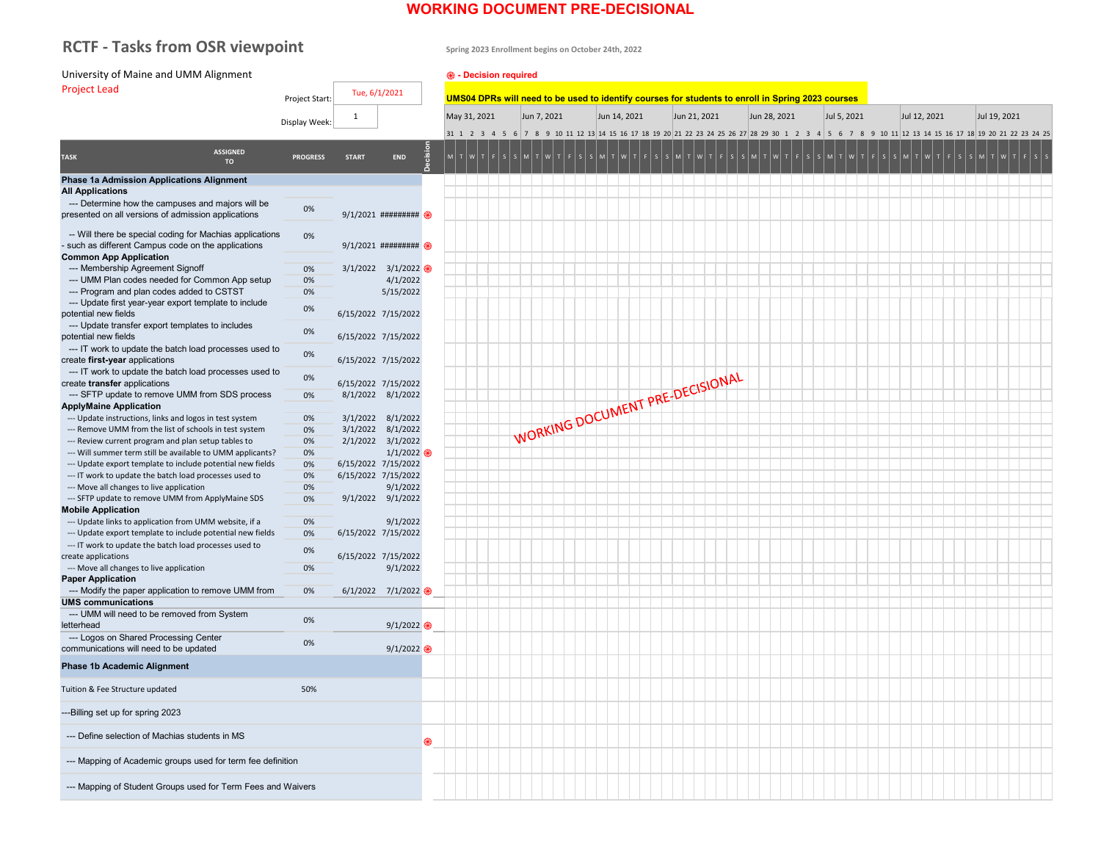# **WORKING DOCUMENT PRE-DECISIONAL**

# RCTF - Tasks from OSR viewpoint **Spring 2023 Enrollment begins on October 24th, 2022**

| University of Maine and UMM Alignment                                                                           |                 |              |                                 | <b>@</b> - Decision required |                |                                                                                                   |              |              |             |              |                                                 |
|-----------------------------------------------------------------------------------------------------------------|-----------------|--------------|---------------------------------|------------------------------|----------------|---------------------------------------------------------------------------------------------------|--------------|--------------|-------------|--------------|-------------------------------------------------|
| <b>Project Lead</b>                                                                                             |                 |              | Tue, 6/1/2021                   |                              |                |                                                                                                   |              |              |             |              |                                                 |
|                                                                                                                 | Project Start:  |              |                                 |                              |                | UMS04 DPRs will need to be used to identify courses for students to enroll in Spring 2023 courses |              |              |             |              |                                                 |
|                                                                                                                 | Display Week:   | $\mathbf 1$  |                                 | May 31, 2021                 | Jun 7, 2021    | Jun 14, 2021                                                                                      | Jun 21, 2021 | Jun 28, 2021 | Jul 5, 2021 | Jul 12, 2021 | Jul 19, 2021                                    |
|                                                                                                                 |                 |              |                                 | 31 1 2 3 4                   | 8 <sup>°</sup> | 9 10 11 12 13 14 15 16 17 18 19 20 21 22 23 24 25 26 27 28 29 30 1 2 3                            |              |              | -5<br>-9    |              | 10 11 12 13 14 15 16 17 18 19 20 21 22 23 24 25 |
|                                                                                                                 |                 |              |                                 |                              |                |                                                                                                   |              |              |             |              |                                                 |
| <b>ASSIGNED</b><br><b>TASK</b><br><b>TO</b>                                                                     | <b>PROGRESS</b> | <b>START</b> | cision<br>END                   |                              |                |                                                                                                   |              |              |             |              |                                                 |
|                                                                                                                 |                 |              |                                 |                              |                |                                                                                                   |              |              |             |              |                                                 |
| <b>Phase 1a Admission Applications Alignment</b><br><b>All Applications</b>                                     |                 |              |                                 |                              |                |                                                                                                   |              |              |             |              |                                                 |
| --- Determine how the campuses and majors will be                                                               |                 |              |                                 |                              |                |                                                                                                   |              |              |             |              |                                                 |
| presented on all versions of admission applications                                                             | 0%              |              | $9/1/2021$ ##########           |                              |                |                                                                                                   |              |              |             |              |                                                 |
| -- Will there be special coding for Machias applications<br>- such as different Campus code on the applications | 0%              |              | 9/1/2021 ######### @            |                              |                |                                                                                                   |              |              |             |              |                                                 |
| <b>Common App Application</b>                                                                                   |                 |              |                                 |                              |                |                                                                                                   |              |              |             |              |                                                 |
| --- Membership Agreement Signoff                                                                                | 0%              |              | $3/1/2022$ $3/1/2022$           |                              |                |                                                                                                   |              |              |             |              |                                                 |
| --- UMM Plan codes needed for Common App setup                                                                  | 0%              |              | 4/1/2022                        |                              |                |                                                                                                   |              |              |             |              |                                                 |
| --- Program and plan codes added to CSTST<br>--- Update first year-year export template to include              | 0%              |              | 5/15/2022                       |                              |                |                                                                                                   |              |              |             |              |                                                 |
| potential new fields                                                                                            | 0%              |              | 6/15/2022 7/15/2022             |                              |                |                                                                                                   |              |              |             |              |                                                 |
| --- Update transfer export templates to includes<br>potential new fields                                        | 0%              |              | 6/15/2022 7/15/2022             |                              |                |                                                                                                   |              |              |             |              |                                                 |
| --- IT work to update the batch load processes used to<br>create first-year applications                        | 0%              |              | 6/15/2022 7/15/2022             |                              |                |                                                                                                   |              |              |             |              |                                                 |
| --- IT work to update the batch load processes used to                                                          | 0%              |              |                                 |                              |                |                                                                                                   |              |              |             |              |                                                 |
| create transfer applications                                                                                    |                 |              | 6/15/2022 7/15/2022             |                              |                |                                                                                                   |              |              |             |              |                                                 |
| --- SFTP update to remove UMM from SDS process<br><b>ApplyMaine Application</b>                                 | 0%              |              | 8/1/2022 8/1/2022               |                              |                | WORKING DOCUMENT PRE-DECISIONAL                                                                   |              |              |             |              |                                                 |
| --- Update instructions, links and logos in test system                                                         | 0%              |              | 3/1/2022 8/1/2022               |                              |                |                                                                                                   |              |              |             |              |                                                 |
| --- Remove UMM from the list of schools in test system                                                          | 0%              |              | 3/1/2022 8/1/2022               |                              |                |                                                                                                   |              |              |             |              |                                                 |
| --- Review current program and plan setup tables to                                                             | 0%              |              | 2/1/2022 3/1/2022               |                              |                |                                                                                                   |              |              |             |              |                                                 |
| --- Will summer term still be available to UMM applicants?                                                      | 0%              |              | 1/1/2022                        |                              |                |                                                                                                   |              |              |             |              |                                                 |
| --- Update export template to include potential new fields                                                      | 0%              |              | 6/15/2022 7/15/2022             |                              |                |                                                                                                   |              |              |             |              |                                                 |
| --- IT work to update the batch load processes used to                                                          | 0%              |              | 6/15/2022 7/15/2022<br>9/1/2022 |                              |                |                                                                                                   |              |              |             |              |                                                 |
| --- Move all changes to live application<br>--- SFTP update to remove UMM from ApplyMaine SDS                   | 0%<br>0%        |              | 9/1/2022 9/1/2022               |                              |                |                                                                                                   |              |              |             |              |                                                 |
| <b>Mobile Application</b>                                                                                       |                 |              |                                 |                              |                |                                                                                                   |              |              |             |              |                                                 |
| --- Update links to application from UMM website, if a                                                          | 0%              |              | 9/1/2022                        |                              |                |                                                                                                   |              |              |             |              |                                                 |
| --- Update export template to include potential new fields                                                      | 0%              |              | 6/15/2022 7/15/2022             |                              |                |                                                                                                   |              |              |             |              |                                                 |
| --- IT work to update the batch load processes used to                                                          | 0%              |              |                                 |                              |                |                                                                                                   |              |              |             |              |                                                 |
| create applications                                                                                             |                 |              | 6/15/2022 7/15/2022             |                              |                |                                                                                                   |              |              |             |              |                                                 |
| --- Move all changes to live application<br><b>Paper Application</b>                                            | 0%              |              | 9/1/2022                        |                              |                |                                                                                                   |              |              |             |              |                                                 |
| --- Modify the paper application to remove UMM from                                                             | 0%              |              | $6/1/2022$ $7/1/2022$           |                              |                |                                                                                                   |              |              |             |              |                                                 |
| <b>UMS communications</b>                                                                                       |                 |              |                                 |                              |                |                                                                                                   |              |              |             |              |                                                 |
| --- UMM will need to be removed from System                                                                     | 0%              |              |                                 |                              |                |                                                                                                   |              |              |             |              |                                                 |
| letterhead<br>--- Logos on Shared Processing Center                                                             |                 |              | 9/1/2022                        |                              |                |                                                                                                   |              |              |             |              |                                                 |
| communications will need to be updated                                                                          | 0%              |              | 9/1/2022                        |                              |                |                                                                                                   |              |              |             |              |                                                 |
| <b>Phase 1b Academic Alignment</b>                                                                              |                 |              |                                 |                              |                |                                                                                                   |              |              |             |              |                                                 |
| Tuition & Fee Structure updated                                                                                 | 50%             |              |                                 |                              |                |                                                                                                   |              |              |             |              |                                                 |
| ---Billing set up for spring 2023                                                                               |                 |              |                                 |                              |                |                                                                                                   |              |              |             |              |                                                 |
| --- Define selection of Machias students in MS                                                                  |                 |              | ֎                               |                              |                |                                                                                                   |              |              |             |              |                                                 |
| --- Mapping of Academic groups used for term fee definition                                                     |                 |              |                                 |                              |                |                                                                                                   |              |              |             |              |                                                 |
| --- Mapping of Student Groups used for Term Fees and Waivers                                                    |                 |              |                                 |                              |                |                                                                                                   |              |              |             |              |                                                 |
|                                                                                                                 |                 |              |                                 |                              |                |                                                                                                   |              |              |             |              |                                                 |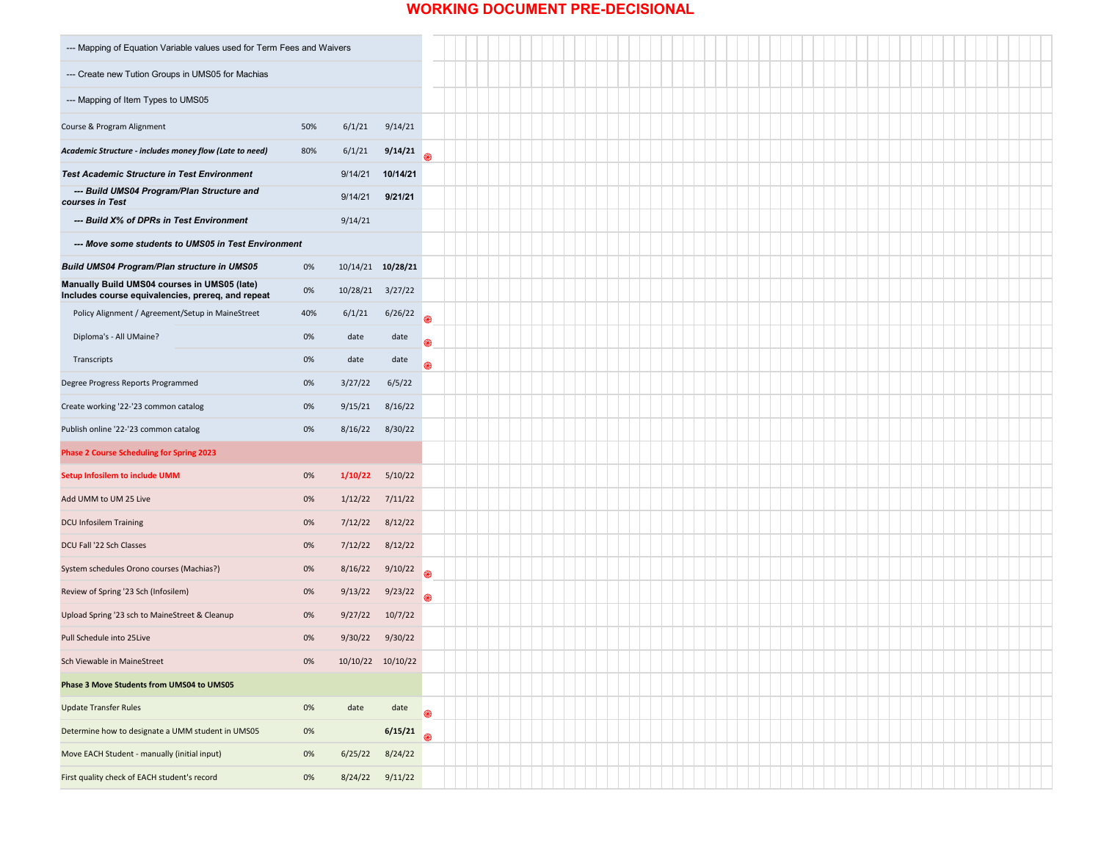## **WORKING DOCUMENT PRE-DECISIONAL**

| --- Mapping of Equation Variable values used for Term Fees and Waivers                            |     |                  |                   |               |
|---------------------------------------------------------------------------------------------------|-----|------------------|-------------------|---------------|
| --- Create new Tution Groups in UMS05 for Machias                                                 |     |                  |                   |               |
| --- Mapping of Item Types to UMS05                                                                |     |                  |                   |               |
| Course & Program Alignment                                                                        | 50% | 6/1/21           | 9/14/21           |               |
| Academic Structure - includes money flow (Late to need)                                           | 80% | 6/1/21           | 9/14/21           |               |
| <b>Test Academic Structure in Test Environment</b>                                                |     | 9/14/21          | 10/14/21          |               |
| --- Build UMS04 Program/Plan Structure and<br>courses in Test                                     |     | 9/14/21          | 9/21/21           |               |
| --- Build X% of DPRs in Test Environment                                                          |     | 9/14/21          |                   |               |
| --- Move some students to UMS05 in Test Environment                                               |     |                  |                   |               |
| <b>Build UMS04 Program/Plan structure in UMS05</b>                                                | 0%  |                  | 10/14/21 10/28/21 |               |
| Manually Build UMS04 courses in UMS05 (late)<br>Includes course equivalencies, prereq, and repeat | 0%  | 10/28/21 3/27/22 |                   |               |
| Policy Alignment / Agreement/Setup in MaineStreet                                                 | 40% | 6/1/21           | 6/26/22           |               |
| Diploma's - All UMaine?                                                                           | 0%  | date             | date              | $\circledast$ |
| Transcripts                                                                                       | 0%  | date             | date              | ֎             |
| Degree Progress Reports Programmed                                                                | 0%  | 3/27/22          | 6/5/22            |               |
| Create working '22-'23 common catalog                                                             | 0%  | 9/15/21          | 8/16/22           |               |
| Publish online '22-'23 common catalog                                                             | 0%  |                  | 8/16/22 8/30/22   |               |
| <b>Phase 2 Course Scheduling for Spring 2023</b>                                                  |     |                  |                   |               |
| <b>Setup Infosilem to include UMM</b>                                                             | 0%  | 1/10/22          | 5/10/22           |               |
| Add UMM to UM 25 Live                                                                             | 0%  | 1/12/22          | 7/11/22           |               |
| <b>DCU Infosilem Training</b>                                                                     | 0%  | 7/12/22          | 8/12/22           |               |
| DCU Fall '22 Sch Classes                                                                          | 0%  | 7/12/22          | 8/12/22           |               |
| System schedules Orono courses (Machias?)                                                         | 0%  | 8/16/22          | 9/10/22           | R             |
| Review of Spring '23 Sch (Infosilem)                                                              | 0%  | 9/13/22          | 9/23/22           |               |
| Upload Spring '23 sch to MaineStreet & Cleanup                                                    | 0%  | 9/27/22          | 10/7/22           |               |
| Pull Schedule into 25Live                                                                         | 0%  | 9/30/22          | 9/30/22           |               |
| Sch Viewable in MaineStreet                                                                       | 0%  |                  | 10/10/22 10/10/22 |               |
| <b>Phase 3 Move Students from UMS04 to UMS05</b>                                                  |     |                  |                   |               |
| <b>Update Transfer Rules</b>                                                                      | 0%  | date             | date              | <b>&amp;</b>  |
| Determine how to designate a UMM student in UMS05                                                 | 0%  |                  | 6/15/21           | 2             |
| Move EACH Student - manually (initial input)                                                      | 0%  | 6/25/22          | 8/24/22           |               |
| First quality check of EACH student's record                                                      | 0%  |                  | 8/24/22 9/11/22   |               |
|                                                                                                   |     |                  |                   |               |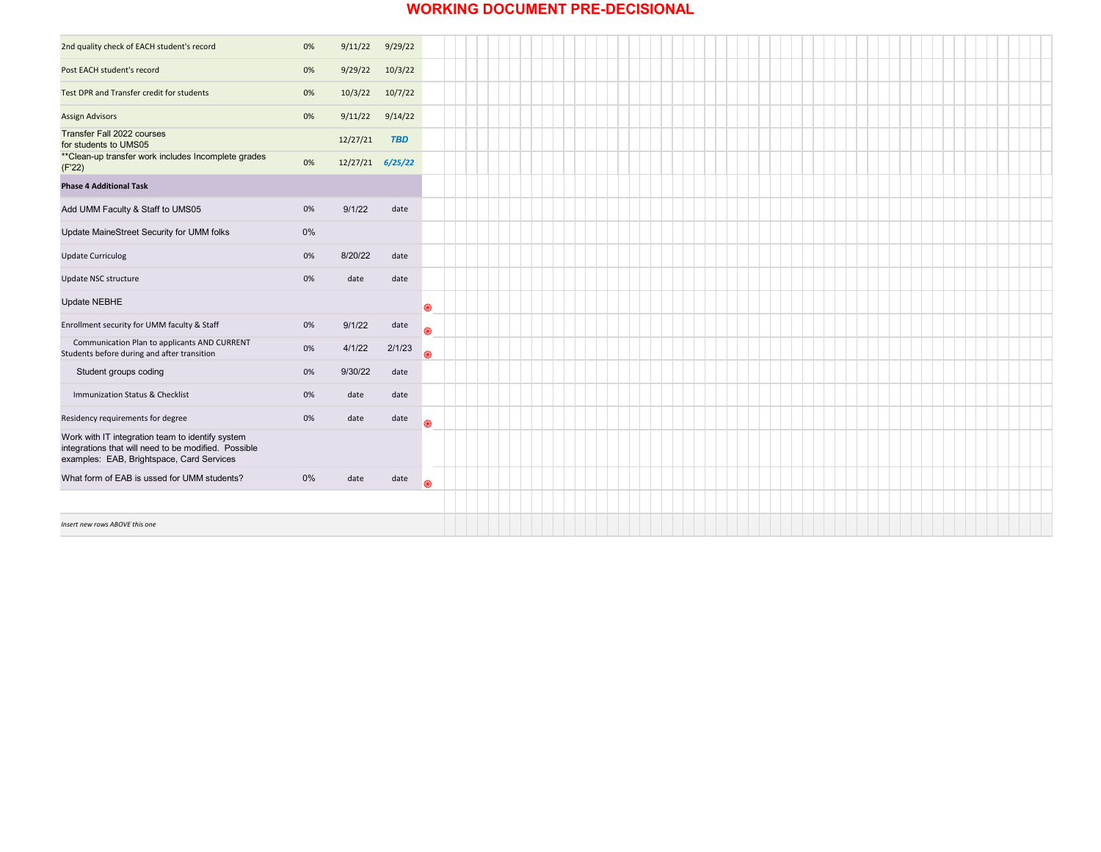### **WORKING DOCUMENT PRE-DECISIONAL**

| 2nd quality check of EACH student's record                                                                                                            | 0%    | 9/11/22             | 9/29/22    |               |
|-------------------------------------------------------------------------------------------------------------------------------------------------------|-------|---------------------|------------|---------------|
| Post EACH student's record                                                                                                                            | 0%    | 9/29/22             | 10/3/22    |               |
| Test DPR and Transfer credit for students                                                                                                             | 0%    | 10/3/22             | 10/7/22    |               |
| <b>Assign Advisors</b>                                                                                                                                | 0%    | $9/11/22$ $9/14/22$ |            |               |
| <b>Transfer Fall 2022 courses</b><br>for students to UMS05                                                                                            |       | 12/27/21            | <b>TBD</b> |               |
| ** Clean-up transfer work includes Incomplete grades<br>(F'22)                                                                                        | 0%    | $12/27/21$ 6/25/22  |            |               |
| <b>Phase 4 Additional Task</b>                                                                                                                        |       |                     |            |               |
| Add UMM Faculty & Staff to UMS05                                                                                                                      | 0%    | 9/1/22              | date       |               |
| Update MaineStreet Security for UMM folks                                                                                                             | $0\%$ |                     |            |               |
| <b>Update Curriculog</b>                                                                                                                              | 0%    | 8/20/22             | date       |               |
| <b>Update NSC structure</b>                                                                                                                           | 0%    | date                | date       |               |
| <b>Update NEBHE</b>                                                                                                                                   |       |                     |            | ֎             |
| Enrollment security for UMM faculty & Staff                                                                                                           | 0%    | 9/1/22              | date       | ֎             |
| Communication Plan to applicants AND CURRENT<br>Students before during and after transition                                                           | 0%    | 4/1/22              | 2/1/23     | 2             |
| Student groups coding                                                                                                                                 | 0%    | 9/30/22             | date       |               |
| Immunization Status & Checklist                                                                                                                       | 0%    | date                | date       |               |
| Residency requirements for degree                                                                                                                     | 0%    | date                | date       | ֎             |
| Work with IT integration team to identify system<br>integrations that will need to be modified. Possible<br>examples: EAB, Brightspace, Card Services |       |                     |            |               |
| What form of EAB is ussed for UMM students?                                                                                                           | $0\%$ | date                | date       | $\circledast$ |
|                                                                                                                                                       |       |                     |            |               |
| Insert new rows ABOVE this one                                                                                                                        |       |                     |            |               |